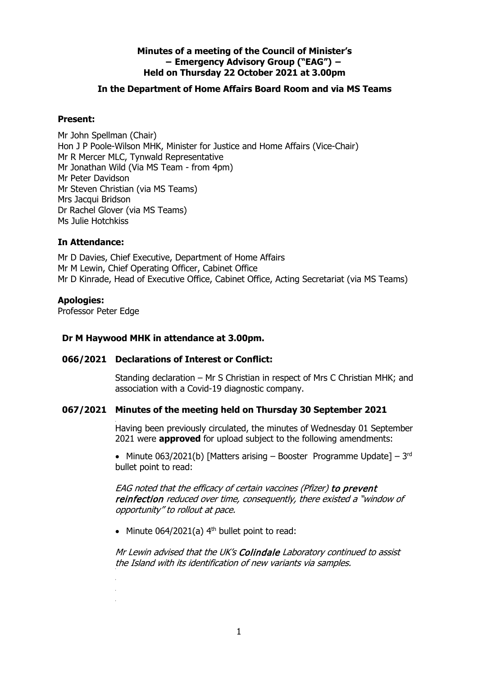# **Minutes of a meeting of the Council of Minister's − Emergency Advisory Group ("EAG") − Held on Thursday 22 October 2021 at 3.00pm**

# **In the Department of Home Affairs Board Room and via MS Teams**

# **Present:**

Mr John Spellman (Chair) Hon J P Poole-Wilson MHK, Minister for Justice and Home Affairs (Vice-Chair) Mr R Mercer MLC, Tynwald Representative Mr Jonathan Wild (Via MS Team - from 4pm) Mr Peter Davidson Mr Steven Christian (via MS Teams) Mrs Jacqui Bridson Dr Rachel Glover (via MS Teams) Ms Julie Hotchkiss

# **In Attendance:**

Mr D Davies, Chief Executive, Department of Home Affairs Mr M Lewin, Chief Operating Officer, Cabinet Office Mr D Kinrade, Head of Executive Office, Cabinet Office, Acting Secretariat (via MS Teams)

## **Apologies:**

Professor Peter Edge

•

# **Dr M Haywood MHK in attendance at 3.00pm.**

# **066/2021 Declarations of Interest or Conflict:**

Standing declaration – Mr S Christian in respect of Mrs C Christian MHK; and association with a Covid-19 diagnostic company.

## **067/2021 Minutes of the meeting held on Thursday 30 September 2021**

Having been previously circulated, the minutes of Wednesday 01 September 2021 were **approved** for upload subject to the following amendments:

• Minute 063/2021(b) [Matters arising – Booster Programme Update] –  $3<sup>rd</sup>$ bullet point to read:

EAG noted that the efficacy of certain vaccines (Pfizer) to prevent reinfection reduced over time, consequently, there existed a "window of opportunity" to rollout at pace.

• Minute  $064/2021(a)$  4<sup>th</sup> bullet point to read:

Mr Lewin advised that the UK's Colindale Laboratory continued to assist the Island with its identification of new variants via samples.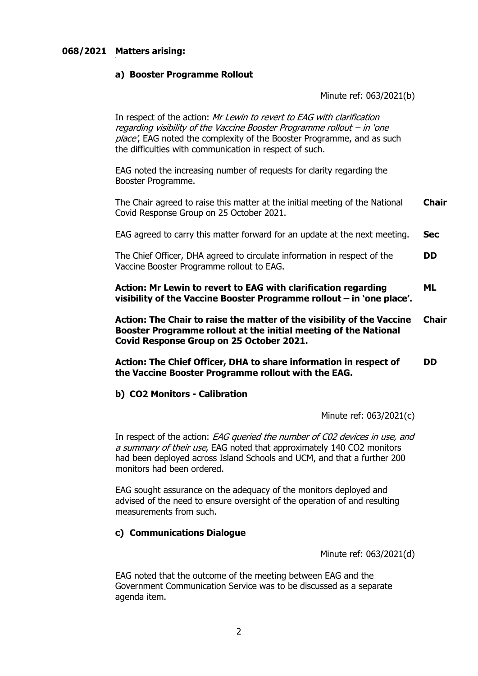# **068/2021 Matters arising:**

## **a) Booster Programme Rollout**

Minute ref: 063/2021(b)

In respect of the action: Mr Lewin to revert to EAG with clarification regarding visibility of the Vaccine Booster Programme rollout ̶ in 'one place', EAG noted the complexity of the Booster Programme, and as such the difficulties with communication in respect of such.

EAG noted the increasing number of requests for clarity regarding the Booster Programme.

The Chair agreed to raise this matter at the initial meeting of the National Covid Response Group on 25 October 2021. **Chair**

EAG agreed to carry this matter forward for an update at the next meeting. **Sec**

The Chief Officer, DHA agreed to circulate information in respect of the Vaccine Booster Programme rollout to EAG. **DD**

**Action: Mr Lewin to revert to EAG with clarification regarding visibility of the Vaccine Booster Programme rollout ̶ in 'one place'. ML**

**Action: The Chair to raise the matter of the visibility of the Vaccine Booster Programme rollout at the initial meeting of the National Covid Response Group on 25 October 2021. Chair**

**Action: The Chief Officer, DHA to share information in respect of the Vaccine Booster Programme rollout with the EAG. DD**

#### **b) CO2 Monitors - Calibration**

Minute ref: 063/2021(c)

In respect of the action: EAG queried the number of C02 devices in use, and a summary of their use, EAG noted that approximately 140 CO2 monitors had been deployed across Island Schools and UCM, and that a further 200 monitors had been ordered.

EAG sought assurance on the adequacy of the monitors deployed and advised of the need to ensure oversight of the operation of and resulting measurements from such.

# **c) Communications Dialogue**

Minute ref: 063/2021(d)

EAG noted that the outcome of the meeting between EAG and the Government Communication Service was to be discussed as a separate agenda item.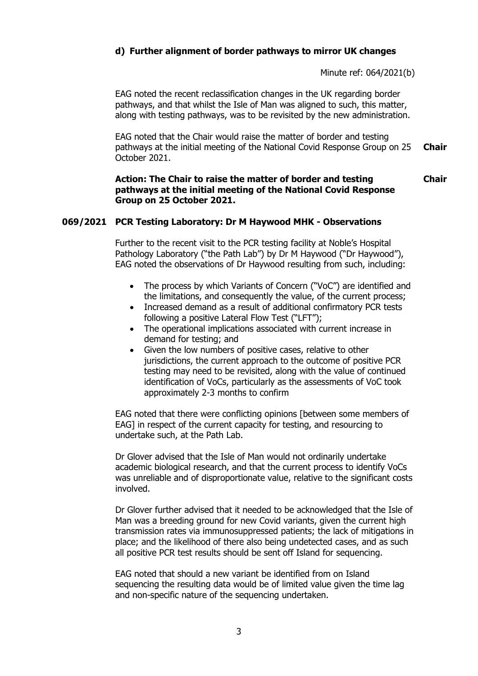# **d) Further alignment of border pathways to mirror UK changes**

Minute ref: 064/2021(b)

**Chair**

EAG noted the recent reclassification changes in the UK regarding border pathways, and that whilst the Isle of Man was aligned to such, this matter, along with testing pathways, was to be revisited by the new administration.

EAG noted that the Chair would raise the matter of border and testing pathways at the initial meeting of the National Covid Response Group on 25 October 2021. **Chair**

#### **Action: The Chair to raise the matter of border and testing pathways at the initial meeting of the National Covid Response Group on 25 October 2021.**

# **069/2021 PCR Testing Laboratory: Dr M Haywood MHK - Observations**

Further to the recent visit to the PCR testing facility at Noble's Hospital Pathology Laboratory ("the Path Lab") by Dr M Haywood ("Dr Haywood"), EAG noted the observations of Dr Haywood resulting from such, including:

- The process by which Variants of Concern ("VoC") are identified and the limitations, and consequently the value, of the current process;
- Increased demand as a result of additional confirmatory PCR tests following a positive Lateral Flow Test ("LFT");
- The operational implications associated with current increase in demand for testing; and
- Given the low numbers of positive cases, relative to other jurisdictions, the current approach to the outcome of positive PCR testing may need to be revisited, along with the value of continued identification of VoCs, particularly as the assessments of VoC took approximately 2-3 months to confirm

EAG noted that there were conflicting opinions [between some members of EAG] in respect of the current capacity for testing, and resourcing to undertake such, at the Path Lab.

Dr Glover advised that the Isle of Man would not ordinarily undertake academic biological research, and that the current process to identify VoCs was unreliable and of disproportionate value, relative to the significant costs involved.

Dr Glover further advised that it needed to be acknowledged that the Isle of Man was a breeding ground for new Covid variants, given the current high transmission rates via immunosuppressed patients; the lack of mitigations in place; and the likelihood of there also being undetected cases, and as such all positive PCR test results should be sent off Island for sequencing.

EAG noted that should a new variant be identified from on Island sequencing the resulting data would be of limited value given the time lag and non-specific nature of the sequencing undertaken.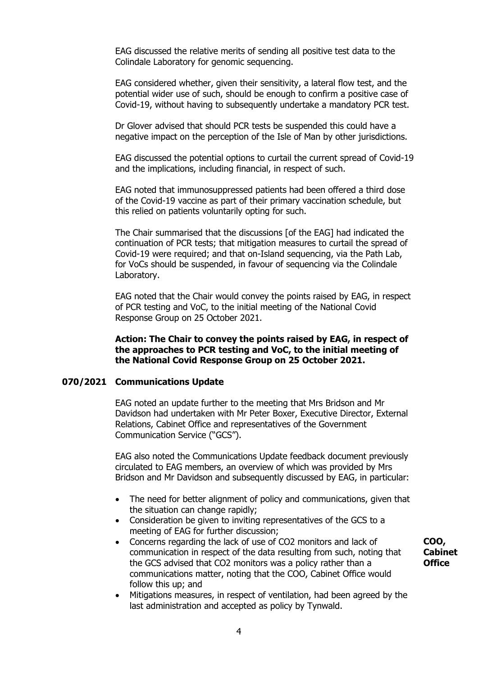EAG discussed the relative merits of sending all positive test data to the Colindale Laboratory for genomic sequencing.

EAG considered whether, given their sensitivity, a lateral flow test, and the potential wider use of such, should be enough to confirm a positive case of Covid-19, without having to subsequently undertake a mandatory PCR test.

Dr Glover advised that should PCR tests be suspended this could have a negative impact on the perception of the Isle of Man by other jurisdictions.

EAG discussed the potential options to curtail the current spread of Covid-19 and the implications, including financial, in respect of such.

EAG noted that immunosuppressed patients had been offered a third dose of the Covid-19 vaccine as part of their primary vaccination schedule, but this relied on patients voluntarily opting for such.

The Chair summarised that the discussions [of the EAG] had indicated the continuation of PCR tests; that mitigation measures to curtail the spread of Covid-19 were required; and that on-Island sequencing, via the Path Lab, for VoCs should be suspended, in favour of sequencing via the Colindale Laboratory.

EAG noted that the Chair would convey the points raised by EAG, in respect of PCR testing and VoC, to the initial meeting of the National Covid Response Group on 25 October 2021.

**Action: The Chair to convey the points raised by EAG, in respect of the approaches to PCR testing and VoC, to the initial meeting of the National Covid Response Group on 25 October 2021.**

#### **070/2021 Communications Update**

EAG noted an update further to the meeting that Mrs Bridson and Mr Davidson had undertaken with Mr Peter Boxer, Executive Director, External Relations, Cabinet Office and representatives of the Government Communication Service ("GCS").

EAG also noted the Communications Update feedback document previously circulated to EAG members, an overview of which was provided by Mrs Bridson and Mr Davidson and subsequently discussed by EAG, in particular:

- The need for better alignment of policy and communications, given that the situation can change rapidly;
- Consideration be given to inviting representatives of the GCS to a meeting of EAG for further discussion;
- Concerns regarding the lack of use of CO2 monitors and lack of communication in respect of the data resulting from such, noting that the GCS advised that CO2 monitors was a policy rather than a communications matter, noting that the COO, Cabinet Office would follow this up; and
- Mitigations measures, in respect of ventilation, had been agreed by the last administration and accepted as policy by Tynwald.

**COO, Cabinet Office**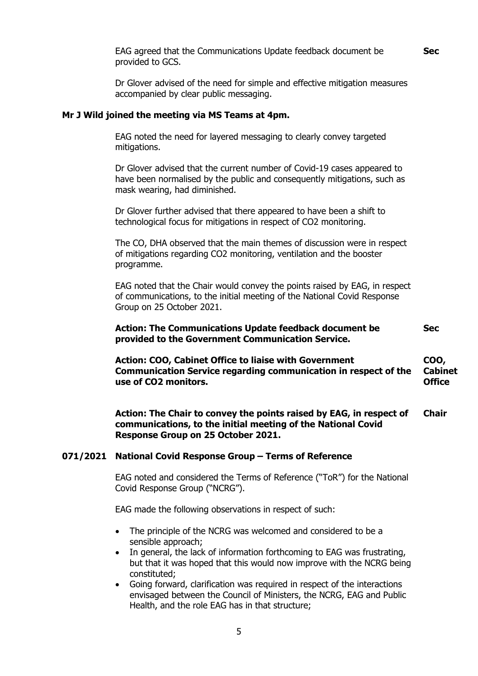**Sec**

**Sec**

EAG agreed that the Communications Update feedback document be provided to GCS.

Dr Glover advised of the need for simple and effective mitigation measures accompanied by clear public messaging.

#### **Mr J Wild joined the meeting via MS Teams at 4pm.**

EAG noted the need for layered messaging to clearly convey targeted mitigations.

Dr Glover advised that the current number of Covid-19 cases appeared to have been normalised by the public and consequently mitigations, such as mask wearing, had diminished.

Dr Glover further advised that there appeared to have been a shift to technological focus for mitigations in respect of CO2 monitoring.

The CO, DHA observed that the main themes of discussion were in respect of mitigations regarding CO2 monitoring, ventilation and the booster programme.

EAG noted that the Chair would convey the points raised by EAG, in respect of communications, to the initial meeting of the National Covid Response Group on 25 October 2021.

**Action: The Communications Update feedback document be provided to the Government Communication Service.**

**Action: COO, Cabinet Office to liaise with Government Communication Service regarding communication in respect of the use of CO2 monitors. COO, Cabinet Office**

**Action: The Chair to convey the points raised by EAG, in respect of communications, to the initial meeting of the National Covid Response Group on 25 October 2021. Chair**

#### **071/2021 National Covid Response Group – Terms of Reference**

EAG noted and considered the Terms of Reference ("ToR") for the National Covid Response Group ("NCRG").

EAG made the following observations in respect of such:

- The principle of the NCRG was welcomed and considered to be a sensible approach;
- In general, the lack of information forthcoming to EAG was frustrating, but that it was hoped that this would now improve with the NCRG being constituted;
- Going forward, clarification was required in respect of the interactions envisaged between the Council of Ministers, the NCRG, EAG and Public Health, and the role EAG has in that structure;